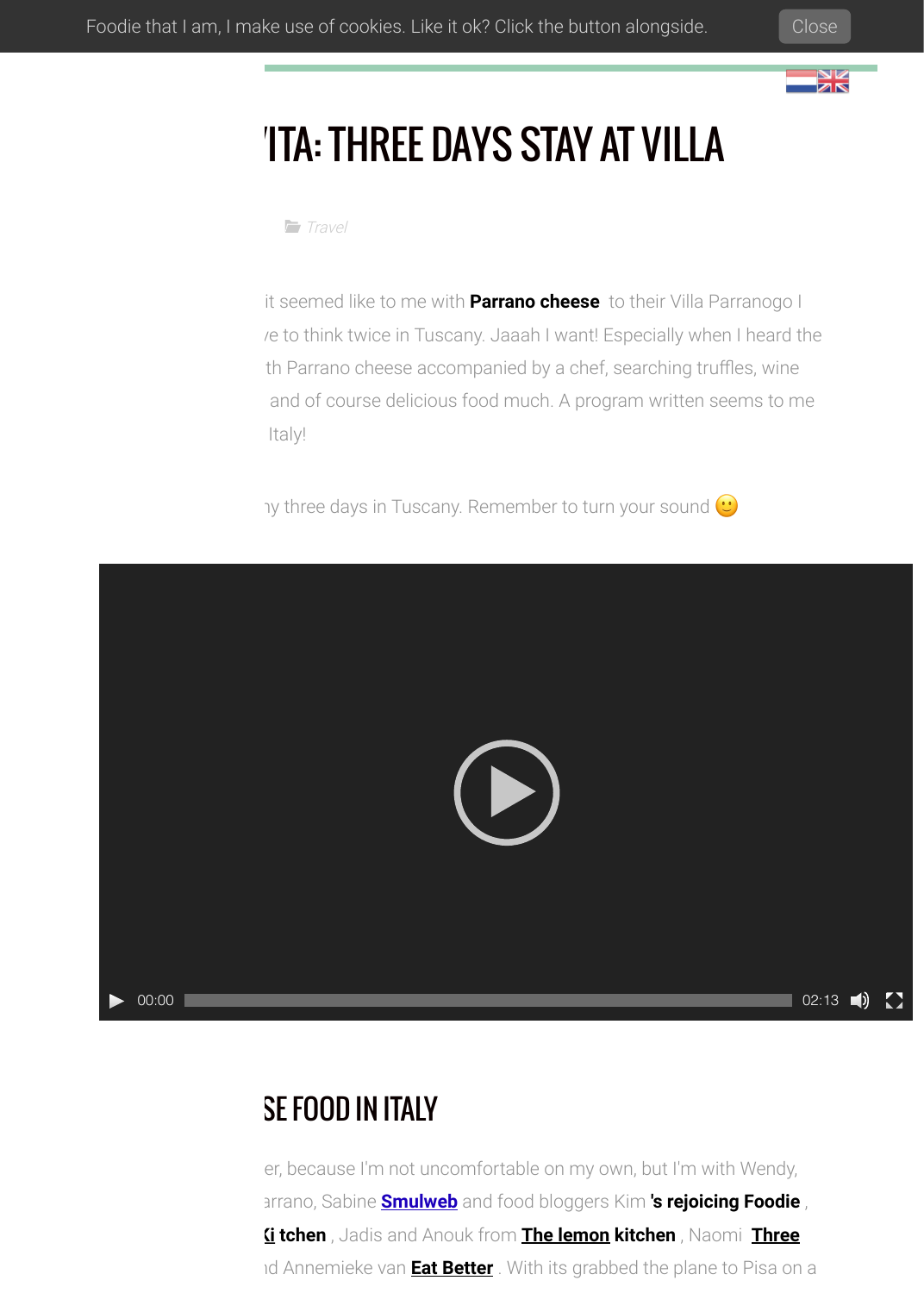



# **THREE DAYS STAY AT VILLA**

**[Travel](http://bysam.nl/searchform/travel/)** 

it seemed like to me with **Parrano cheese** to their Villa Parranogo I re to think twice in Tuscany. Jaaah I want! Especially when I heard the th Parrano cheese accompanied by a chef, searching truffles, wine and of course delicious food much. A program written seems to me ltaly!

by three days in Tuscany. Remember to turn your sound  $\bigcirc$ 



## **SE FOOD IN ITALY**

er, because I'm not uncomfortable on my own, but I'm with Wendy, Lianne and Martin Parrano, Sabine **[Smulweb](http://www.smulweb.nl/)** and food bloggers Kim **['s rejoicing Foodie](https://degenietendefoodie.nl/)** , **<u>Gitchen</u>**, Jadis and Anouk from [The lemon kitchen](http://thelemonkitchen.nl/), Naomi Three **id Annemieke van <b>[Eat Better](https://eethetbeter.nl/)** [. With its grabbed the plane to Pisa on](http://threegirlsonekitchen.blogspot.nl/) a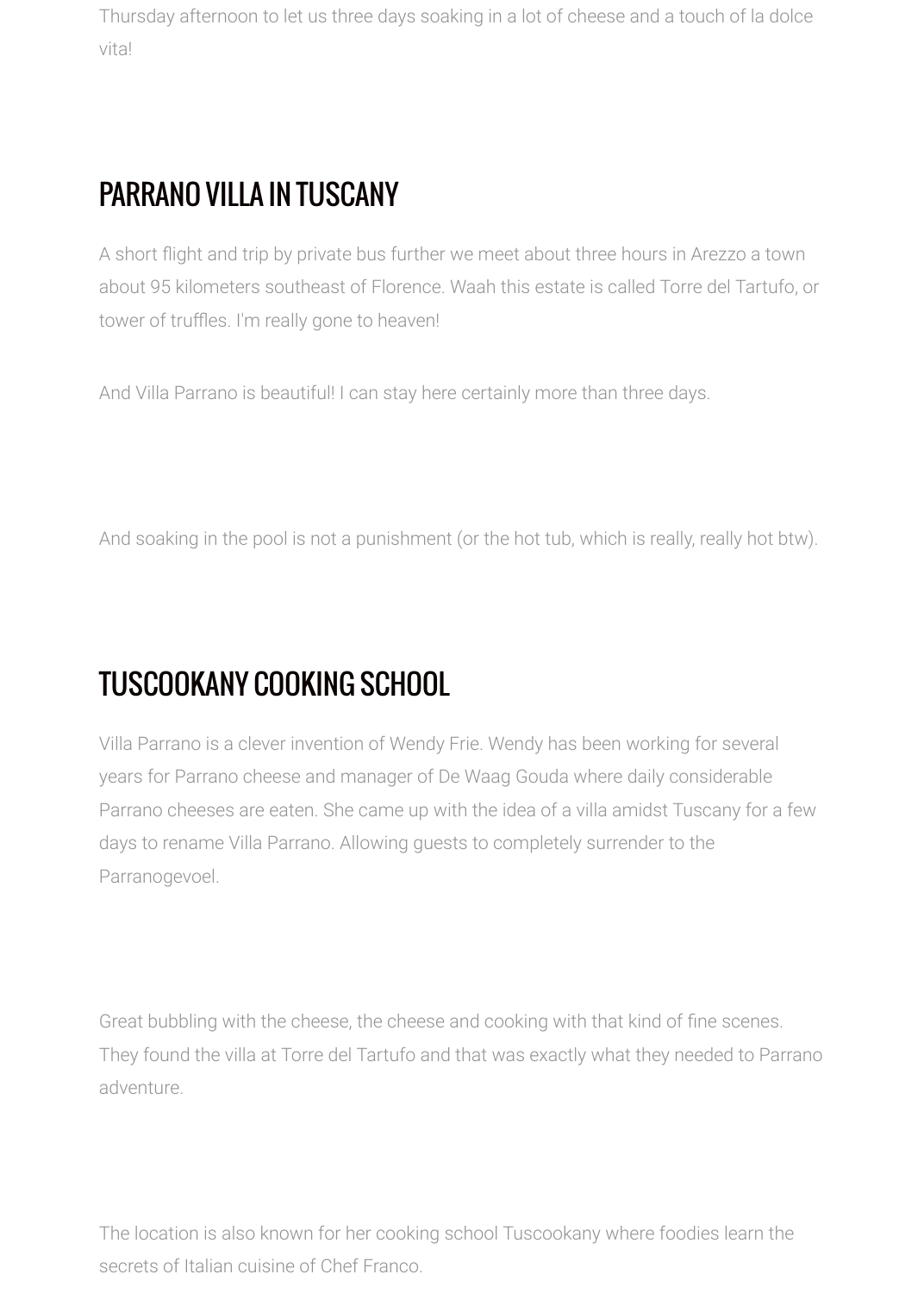Thursday afternoon to let us three days soaking in a lot of cheese and a touch of la dolce vita!

## PARRANO VILLA IN TUSCANY

A short flight and trip by private bus further we meet about three hours in Arezzo a town about 95 kilometers southeast of Florence. Waah this estate is called Torre del Tartufo, or tower of truffles. I'm really gone to heaven!

And Villa Parrano is beautiful! I can stay here certainly more than three days.

And soaking in the pool is not a punishment (or the hot tub, which is really, really hot btw).

# TUSCOOKANY COOKING SCHOOL

Villa Parrano is a clever invention of Wendy Frie. Wendy has been working for several years for Parrano cheese and manager of De Waag Gouda where daily considerable Parrano cheeses are eaten. She came up with the idea of a villa amidst Tuscany for a few days to rename Villa Parrano. Allowing guests to completely surrender to the Parranogevoel.

Great bubbling with the cheese, the cheese and cooking with that kind of fine scenes. They found the villa at Torre del Tartufo and that was exactly what they needed to Parrano adventure.

The location is also known for her cooking school Tuscookany where foodies learn the secrets of Italian cuisine of Chef Franco.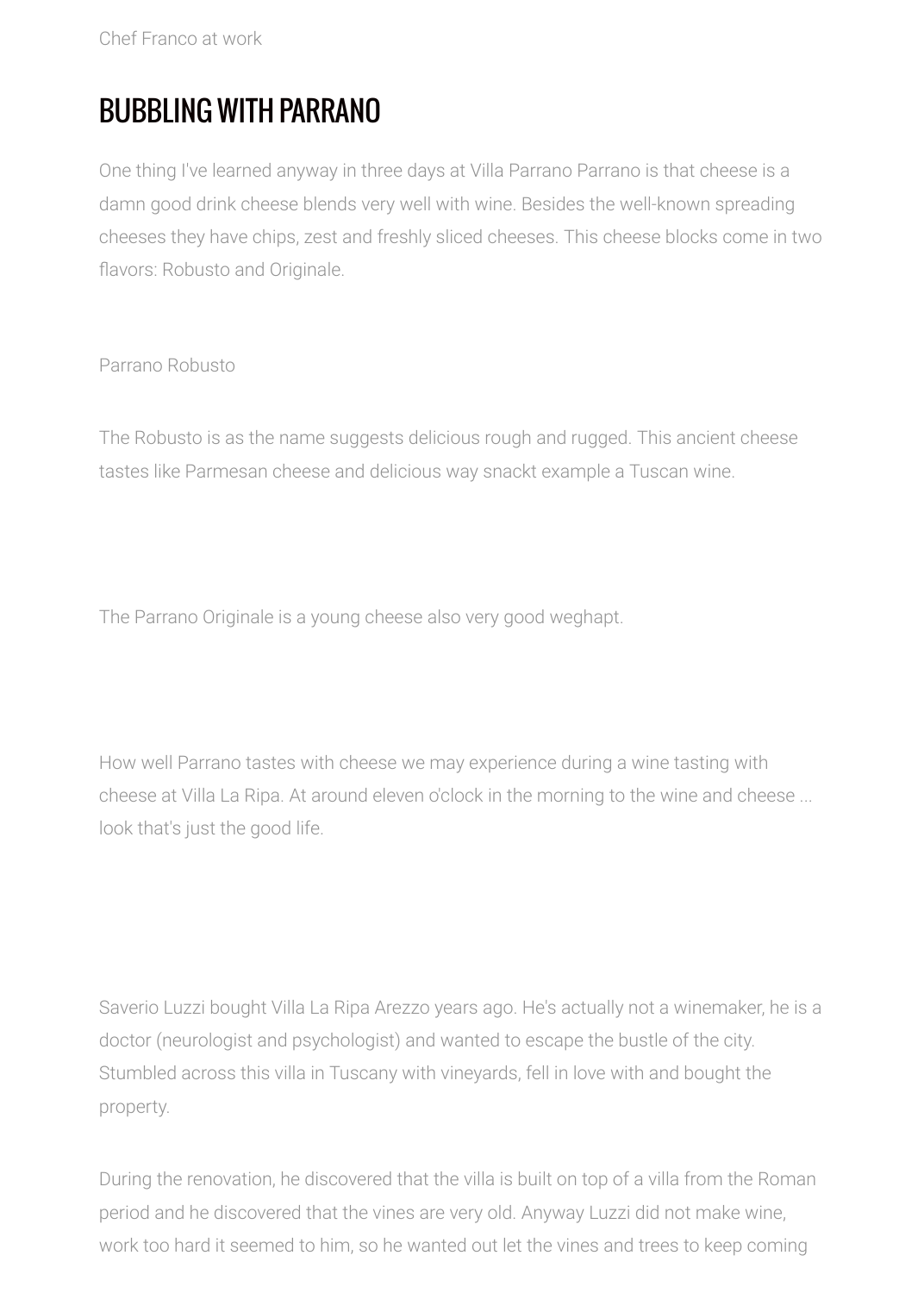Chef Franco at work

## BUBBLING WITH PARRANO

One thing I've learned anyway in three days at Villa Parrano Parrano is that cheese is a damn good drink cheese blends very well with wine. Besides the well-known spreading cheeses they have chips, zest and freshly sliced cheeses. This cheese blocks come in two flavors: Robusto and Originale.

Parrano Robusto

The Robusto is as the name suggests delicious rough and rugged. This ancient cheese tastes like Parmesan cheese and delicious way snackt example a Tuscan wine.

The Parrano Originale is a young cheese also very good weghapt.

How well Parrano tastes with cheese we may experience during a wine tasting with cheese at Villa La Ripa. At around eleven o'clock in the morning to the wine and cheese ... look that's just the good life.

Saverio Luzzi bought Villa La Ripa Arezzo years ago. He's actually not a winemaker, he is a doctor (neurologist and psychologist) and wanted to escape the bustle of the city. Stumbled across this villa in Tuscany with vineyards, fell in love with and bought the property.

During the renovation, he discovered that the villa is built on top of a villa from the Roman period and he discovered that the vines are very old. Anyway Luzzi did not make wine, work too hard it seemed to him, so he wanted out let the vines and trees to keep coming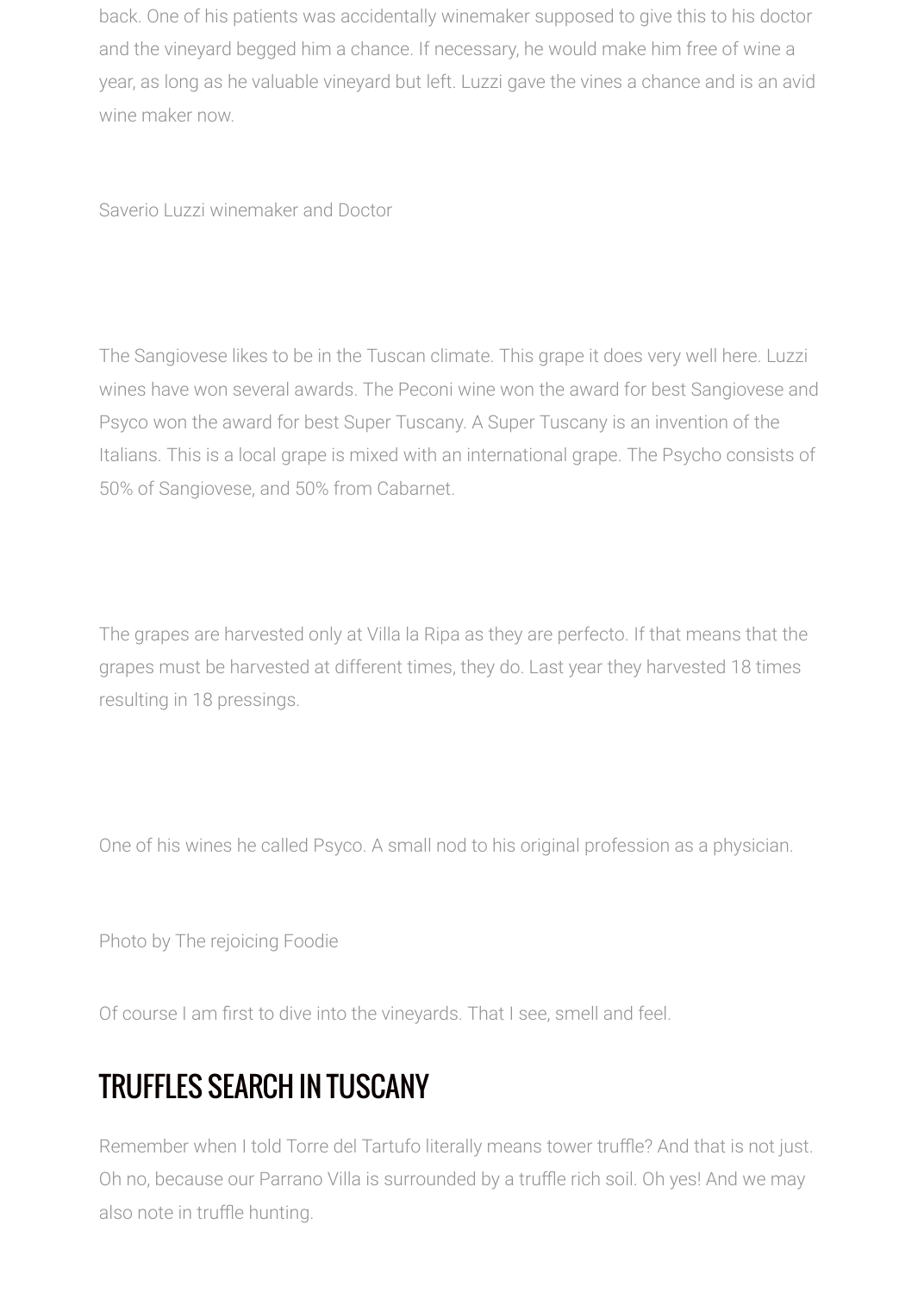back. One of his patients was accidentally winemaker supposed to give this to his doctor and the vineyard begged him a chance. If necessary, he would make him free of wine a year, as long as he valuable vineyard but left. Luzzi gave the vines a chance and is an avid wine maker now.

Saverio Luzzi winemaker and Doctor

The Sangiovese likes to be in the Tuscan climate. This grape it does very well here. Luzzi wines have won several awards. The Peconi wine won the award for best Sangiovese and Psyco won the award for best Super Tuscany. A Super Tuscany is an invention of the Italians. This is a local grape is mixed with an international grape. The Psycho consists of 50% of Sangiovese, and 50% from Cabarnet.

The grapes are harvested only at Villa la Ripa as they are perfecto. If that means that the grapes must be harvested at different times, they do. Last year they harvested 18 times resulting in 18 pressings.

One of his wines he called Psyco. A small nod to his original profession as a physician.

Photo by The rejoicing Foodie

Of course I am first to dive into the vineyards. That I see, smell and feel.

## TRUFFLES SEARCH IN TUSCANY

Remember when I told Torre del Tartufo literally means tower truffle? And that is not just. Oh no, because our Parrano Villa is surrounded by a truffle rich soil. Oh yes! And we may also note in truffle hunting.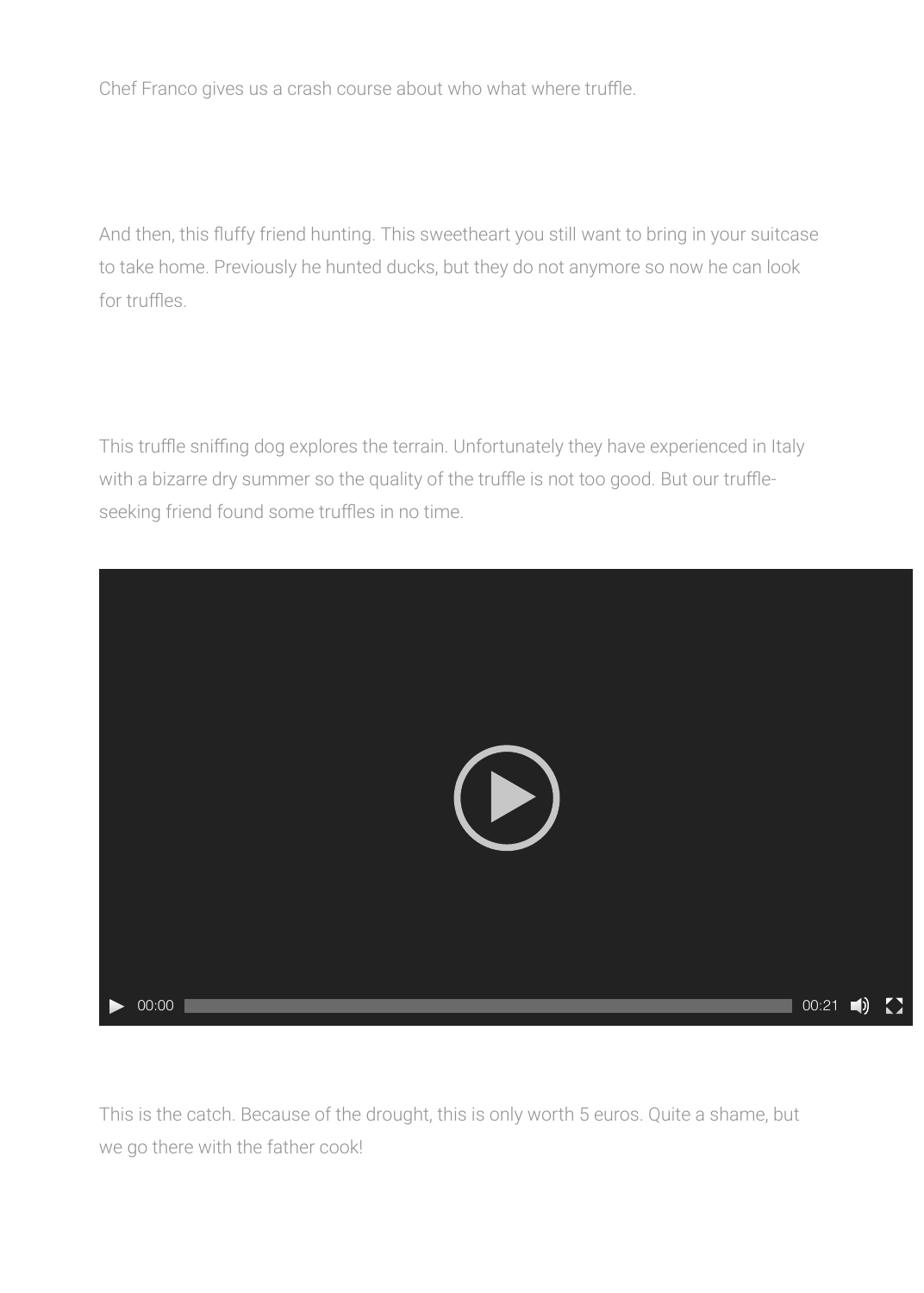Chef Franco gives us a crash course about who what where truffle.

And then, this fluffy friend hunting. This sweetheart you still want to bring in your suitcase to take home. Previously he hunted ducks, but they do not anymore so now he can look for truffles.

This truffle sniffing dog explores the terrain. Unfortunately they have experienced in Italy with a bizarre dry summer so the quality of the truffle is not too good. But our truffleseeking friend found some truffles in no time.



This is the catch. Because of the drought, this is only worth 5 euros. Quite a shame, but we go there with the father cook!